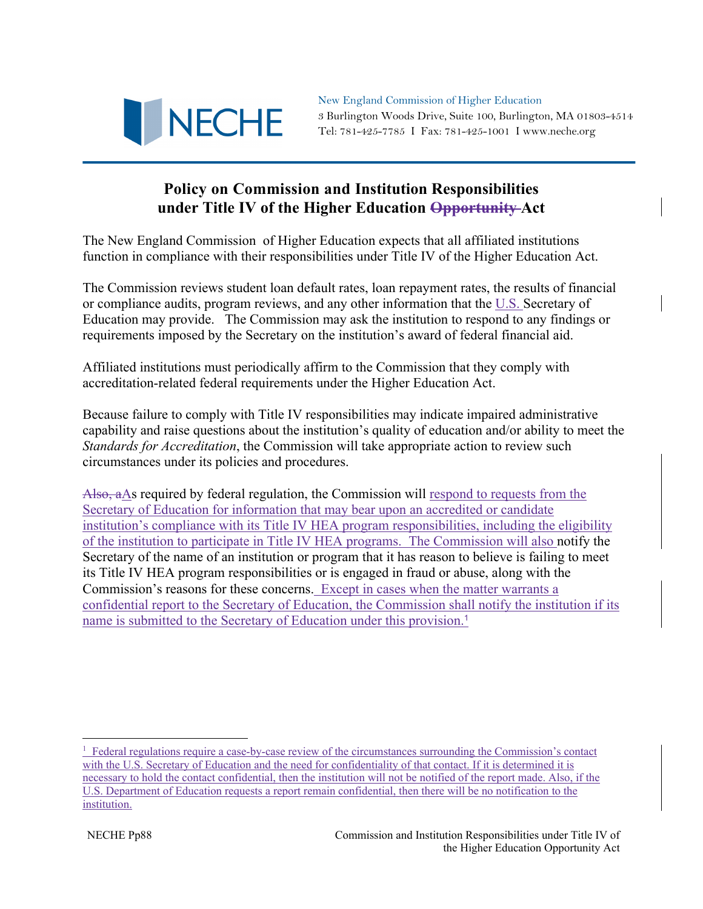

New England Commission of Higher Education 3 Burlington Woods Drive, Suite 100, Burlington, MA 01803-4514 Tel: 781-425-7785 I Fax: 781-425-1001 I www.neche.org

## **Policy on Commission and Institution Responsibilities under Title IV of the Higher Education Opportunity Act**

The New England Commission of Higher Education expects that all affiliated institutions function in compliance with their responsibilities under Title IV of the Higher Education Act.

The Commission reviews student loan default rates, loan repayment rates, the results of financial or compliance audits, program reviews, and any other information that the U.S. Secretary of Education may provide. The Commission may ask the institution to respond to any findings or requirements imposed by the Secretary on the institution's award of federal financial aid.

Affiliated institutions must periodically affirm to the Commission that they comply with accreditation-related federal requirements under the Higher Education Act.

Because failure to comply with Title IV responsibilities may indicate impaired administrative capability and raise questions about the institution's quality of education and/or ability to meet the *Standards for Accreditation*, the Commission will take appropriate action to review such circumstances under its policies and procedures.

Also,  $a\Delta s$  required by federal regulation, the Commission will respond to requests from the Secretary of Education for information that may bear upon an accredited or candidate institution's compliance with its Title IV HEA program responsibilities, including the eligibility of the institution to participate in Title IV HEA programs. The Commission will also notify the Secretary of the name of an institution or program that it has reason to believe is failing to meet its Title IV HEA program responsibilities or is engaged in fraud or abuse, along with the Commission's reasons for these concerns. Except in cases when the matter warrants a confidential report to the Secretary of Education, the Commission shall notify the institution if its name is submitted to the Secretary of Education under this provision.<sup>1</sup>

<sup>&</sup>lt;sup>1</sup> Federal regulations require a case-by-case review of the circumstances surrounding the Commission's contact with the U.S. Secretary of Education and the need for confidentiality of that contact. If it is determined it is necessary to hold the contact confidential, then the institution will not be notified of the report made. Also, if the U.S. Department of Education requests a report remain confidential, then there will be no notification to the institution.